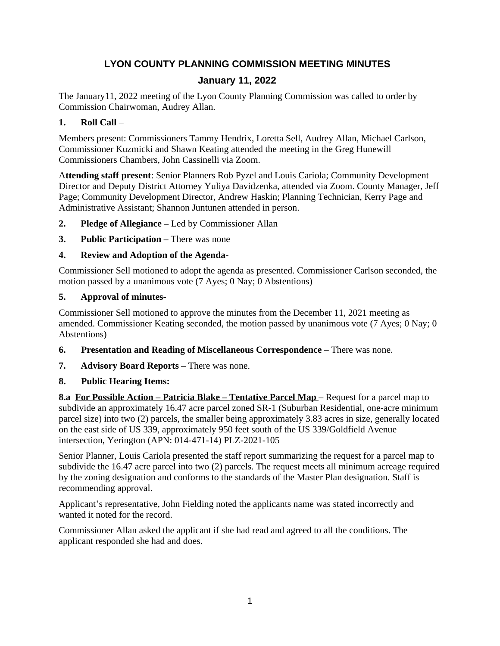# **LYON COUNTY PLANNING COMMISSION MEETING MINUTES**

# **January 11, 2022**

The January11, 2022 meeting of the Lyon County Planning Commission was called to order by Commission Chairwoman, Audrey Allan.

## **1. Roll Call** –

Members present: Commissioners Tammy Hendrix, Loretta Sell, Audrey Allan, Michael Carlson, Commissioner Kuzmicki and Shawn Keating attended the meeting in the Greg Hunewill Commissioners Chambers, John Cassinelli via Zoom.

A**ttending staff present**: Senior Planners Rob Pyzel and Louis Cariola; Community Development Director and Deputy District Attorney Yuliya Davidzenka, attended via Zoom. County Manager, Jeff Page; Community Development Director, Andrew Haskin; Planning Technician, Kerry Page and Administrative Assistant; Shannon Juntunen attended in person.

- **2. Pledge of Allegiance –** Led by Commissioner Allan
- **3. Public Participation –** There was none

# **4. Review and Adoption of the Agenda-**

Commissioner Sell motioned to adopt the agenda as presented. Commissioner Carlson seconded, the motion passed by a unanimous vote (7 Ayes; 0 Nay; 0 Abstentions)

## **5. Approval of minutes-**

Commissioner Sell motioned to approve the minutes from the December 11, 2021 meeting as amended. Commissioner Keating seconded, the motion passed by unanimous vote (7 Ayes; 0 Nay; 0 Abstentions)

- **6. Presentation and Reading of Miscellaneous Correspondence –** There was none.
- **7. Advisory Board Reports –** There was none.

# **8. Public Hearing Items:**

**8.a For Possible Action – Patricia Blake – Tentative Parcel Map – Request for a parcel map to** subdivide an approximately 16.47 acre parcel zoned SR-1 (Suburban Residential, one-acre minimum parcel size) into two (2) parcels, the smaller being approximately 3.83 acres in size, generally located on the east side of US 339, approximately 950 feet south of the US 339/Goldfield Avenue intersection, Yerington (APN: 014-471-14) PLZ-2021-105

Senior Planner, Louis Cariola presented the staff report summarizing the request for a parcel map to subdivide the 16.47 acre parcel into two (2) parcels. The request meets all minimum acreage required by the zoning designation and conforms to the standards of the Master Plan designation. Staff is recommending approval.

Applicant's representative, John Fielding noted the applicants name was stated incorrectly and wanted it noted for the record.

Commissioner Allan asked the applicant if she had read and agreed to all the conditions. The applicant responded she had and does.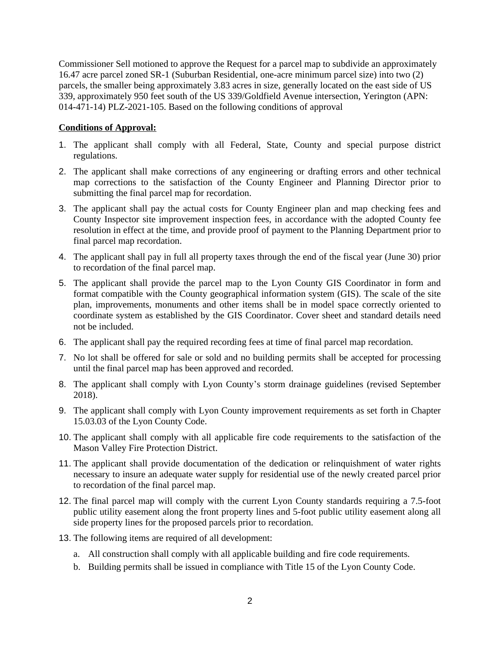Commissioner Sell motioned to approve the Request for a parcel map to subdivide an approximately 16.47 acre parcel zoned SR-1 (Suburban Residential, one-acre minimum parcel size) into two (2) parcels, the smaller being approximately 3.83 acres in size, generally located on the east side of US 339, approximately 950 feet south of the US 339/Goldfield Avenue intersection, Yerington (APN: 014-471-14) PLZ-2021-105. Based on the following conditions of approval

#### **Conditions of Approval:**

- 1. The applicant shall comply with all Federal, State, County and special purpose district regulations.
- 2. The applicant shall make corrections of any engineering or drafting errors and other technical map corrections to the satisfaction of the County Engineer and Planning Director prior to submitting the final parcel map for recordation.
- 3. The applicant shall pay the actual costs for County Engineer plan and map checking fees and County Inspector site improvement inspection fees, in accordance with the adopted County fee resolution in effect at the time, and provide proof of payment to the Planning Department prior to final parcel map recordation.
- 4. The applicant shall pay in full all property taxes through the end of the fiscal year (June 30) prior to recordation of the final parcel map.
- 5. The applicant shall provide the parcel map to the Lyon County GIS Coordinator in form and format compatible with the County geographical information system (GIS). The scale of the site plan, improvements, monuments and other items shall be in model space correctly oriented to coordinate system as established by the GIS Coordinator. Cover sheet and standard details need not be included.
- 6. The applicant shall pay the required recording fees at time of final parcel map recordation.
- 7. No lot shall be offered for sale or sold and no building permits shall be accepted for processing until the final parcel map has been approved and recorded.
- 8. The applicant shall comply with Lyon County's storm drainage guidelines (revised September 2018).
- 9. The applicant shall comply with Lyon County improvement requirements as set forth in Chapter 15.03.03 of the Lyon County Code.
- 10. The applicant shall comply with all applicable fire code requirements to the satisfaction of the Mason Valley Fire Protection District.
- 11. The applicant shall provide documentation of the dedication or relinquishment of water rights necessary to insure an adequate water supply for residential use of the newly created parcel prior to recordation of the final parcel map.
- 12. The final parcel map will comply with the current Lyon County standards requiring a 7.5-foot public utility easement along the front property lines and 5-foot public utility easement along all side property lines for the proposed parcels prior to recordation.
- 13. The following items are required of all development:
	- a. All construction shall comply with all applicable building and fire code requirements.
	- b. Building permits shall be issued in compliance with Title 15 of the Lyon County Code.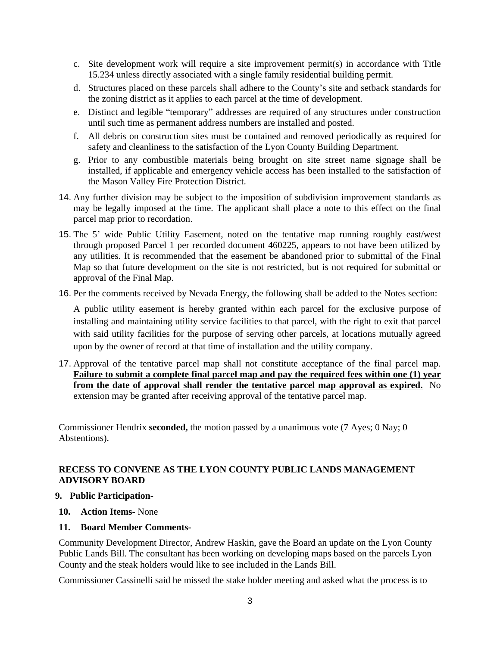- c. Site development work will require a site improvement permit(s) in accordance with Title 15.234 unless directly associated with a single family residential building permit.
- d. Structures placed on these parcels shall adhere to the County's site and setback standards for the zoning district as it applies to each parcel at the time of development.
- e. Distinct and legible "temporary" addresses are required of any structures under construction until such time as permanent address numbers are installed and posted.
- f. All debris on construction sites must be contained and removed periodically as required for safety and cleanliness to the satisfaction of the Lyon County Building Department.
- g. Prior to any combustible materials being brought on site street name signage shall be installed, if applicable and emergency vehicle access has been installed to the satisfaction of the Mason Valley Fire Protection District.
- 14. Any further division may be subject to the imposition of subdivision improvement standards as may be legally imposed at the time. The applicant shall place a note to this effect on the final parcel map prior to recordation.
- 15. The 5' wide Public Utility Easement, noted on the tentative map running roughly east/west through proposed Parcel 1 per recorded document 460225, appears to not have been utilized by any utilities. It is recommended that the easement be abandoned prior to submittal of the Final Map so that future development on the site is not restricted, but is not required for submittal or approval of the Final Map.
- 16. Per the comments received by Nevada Energy, the following shall be added to the Notes section:

A public utility easement is hereby granted within each parcel for the exclusive purpose of installing and maintaining utility service facilities to that parcel, with the right to exit that parcel with said utility facilities for the purpose of serving other parcels, at locations mutually agreed upon by the owner of record at that time of installation and the utility company.

17. Approval of the tentative parcel map shall not constitute acceptance of the final parcel map. **Failure to submit a complete final parcel map and pay the required fees within one (1) year from the date of approval shall render the tentative parcel map approval as expired.** No extension may be granted after receiving approval of the tentative parcel map.

Commissioner Hendrix **seconded,** the motion passed by a unanimous vote (7 Ayes; 0 Nay; 0 Abstentions).

#### **RECESS TO CONVENE AS THE LYON COUNTY PUBLIC LANDS MANAGEMENT ADVISORY BOARD**

#### **9. Public Participation**-

**10. Action Items-** None

#### **11. Board Member Comments-**

Community Development Director, Andrew Haskin, gave the Board an update on the Lyon County Public Lands Bill. The consultant has been working on developing maps based on the parcels Lyon County and the steak holders would like to see included in the Lands Bill.

Commissioner Cassinelli said he missed the stake holder meeting and asked what the process is to